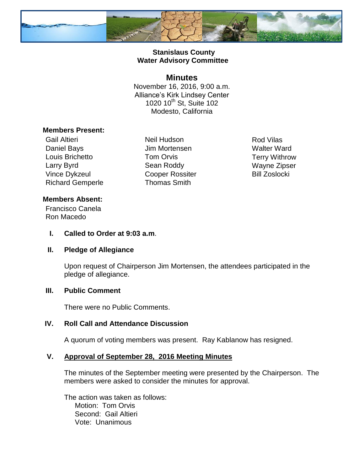

## **Stanislaus County Water Advisory Committee**

#### **Minutes**

November 16, 2016, 9:00 a.m. Alliance's Kirk Lindsey Center 1020 10<sup>th</sup> St, Suite 102 Modesto, California

#### **Members Present:**

Gail Altieri Neil Hudson Rod Vilas Daniel Bays **Jim Mortensen** Walter Ward Louis Brichetto **Tom Orvis** Terry Withrow Larry Byrd **Sean Roddy** Wayne Zipser Vince Dykzeul Cooper Rossiter Bill Zoslocki Richard Gemperle Thomas Smith

## **Members Absent:**

Francisco Canela Ron Macedo

#### **I. Called to Order at 9:03 a.m**.

#### **II. Pledge of Allegiance**

Upon request of Chairperson Jim Mortensen, the attendees participated in the pledge of allegiance.

#### **III. Public Comment**

There were no Public Comments.

# **IV. Roll Call and Attendance Discussion**

A quorum of voting members was present. Ray Kablanow has resigned.

#### **V. Approval of September 28, 2016 Meeting Minutes**

The minutes of the September meeting were presented by the Chairperson. The members were asked to consider the minutes for approval.

The action was taken as follows: Motion: Tom Orvis Second: Gail Altieri Vote: Unanimous